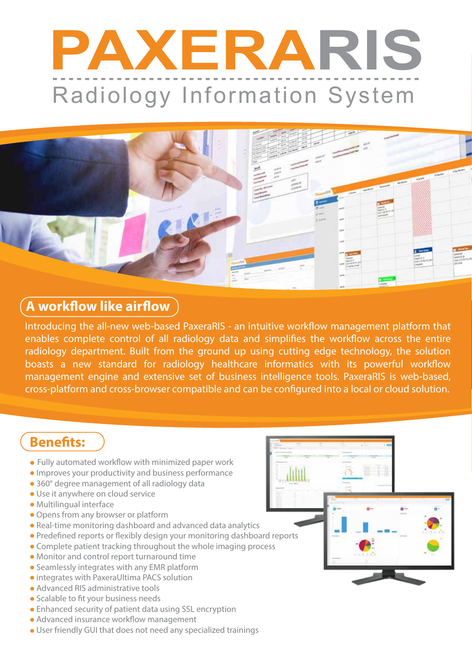# **PAXERARIS** Radiology Information System



### **A** workflow like airflow

Introducing the all-new web-based PaxeraRIS - an intuitive workflow management platform that enables complete control of all radiology data and simplifies the workflow across the entire radiology department. Built from the ground up using cutting edge technology, the solution boasts a new standard for radiology healthcare informatics with its powerful workflow management engine and extensive set of business intelligence tools. PaxeraRIS is web-based, cross-platform and cross-browser compatible and can be configured into a local or cloud solution.

dill

## **Benefits:**

- $\bullet$  Fully automated workflow with minimized paper work
- Improves your productivity and business performance
- 360° degree management of all radiology data
- Use it anywhere on cloud service
- Multilingual interface
- Opens from any browser or platform
- Real-time monitoring dashboard and advanced data analytics
- Predefined reports or flexibly design your monitoring dashboard reports
- Complete patient tracking throughout the whole imaging process
- Monitor and control report turnaround time
- Seamlessly integrates with any EMR platform
- integrates with PaxeraUltima PACS solution
- Advanced RIS administrative tools
- Scalable to fit your business needs
- Enhanced security of patient data using SSL encryption
- $\bullet$  Advanced insurance workflow management
- User friendly GUI that does not need any specialized trainings